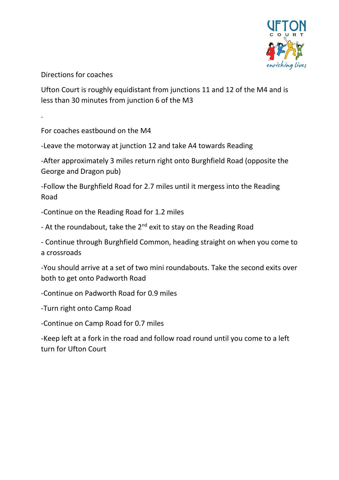

Directions for coaches

.

Ufton Court is roughly equidistant from junctions 11 and 12 of the M4 and is less than 30 minutes from junction 6 of the M3

For coaches eastbound on the M4

-Leave the motorway at junction 12 and take A4 towards Reading

-After approximately 3 miles return right onto Burghfield Road (opposite the George and Dragon pub)

-Follow the Burghfield Road for 2.7 miles until it mergess into the Reading Road

-Continue on the Reading Road for 1.2 miles

- At the roundabout, take the  $2^{nd}$  exit to stay on the Reading Road

- Continue through Burghfield Common, heading straight on when you come to a crossroads

-You should arrive at a set of two mini roundabouts. Take the second exits over both to get onto Padworth Road

-Continue on Padworth Road for 0.9 miles

-Turn right onto Camp Road

-Continue on Camp Road for 0.7 miles

-Keep left at a fork in the road and follow road round until you come to a left turn for Ufton Court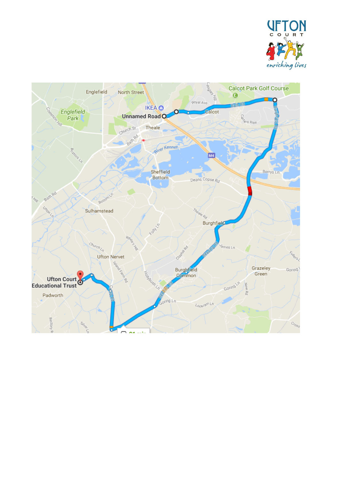

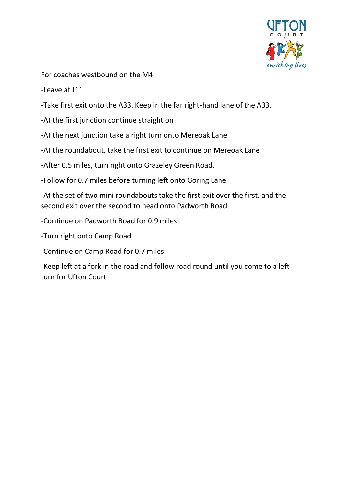

For coaches westbound on the M4

-Leave at J11

-Take first exit onto the A33. Keep in the far right-hand lane of the A33.

-At the first junction continue straight on

-At the next junction take a right turn onto Mereoak Lane

-At the roundabout, take the first exit to continue on Mereoak Lane

-After 0.5 miles, turn right onto Grazeley Green Road.

-Follow for 0.7 miles before turning left onto Goring Lane

-At the set of two mini roundabouts take the first exit over the first, and the second exit over the second to head onto Padworth Road

-Continue on Padworth Road for 0.9 miles

-Turn right onto Camp Road

-Continue on Camp Road for 0.7 miles

-Keep left at a fork in the road and follow road round until you come to a left turn for Ufton Court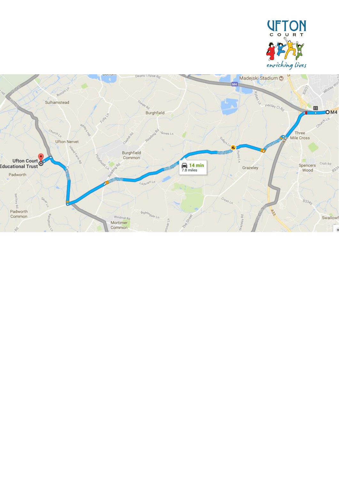

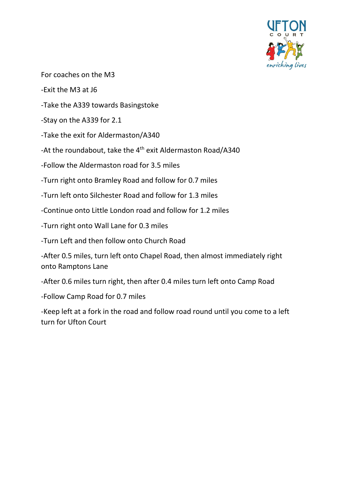

For coaches on the M3

-Exit the M3 at J6

-Take the A339 towards Basingstoke

-Stay on the A339 for 2.1

-Take the exit for Aldermaston/A340

-At the roundabout, take the 4<sup>th</sup> exit Aldermaston Road/A340

-Follow the Aldermaston road for 3.5 miles

-Turn right onto Bramley Road and follow for 0.7 miles

-Turn left onto Silchester Road and follow for 1.3 miles

-Continue onto Little London road and follow for 1.2 miles

-Turn right onto Wall Lane for 0.3 miles

-Turn Left and then follow onto Church Road

-After 0.5 miles, turn left onto Chapel Road, then almost immediately right onto Ramptons Lane

-After 0.6 miles turn right, then after 0.4 miles turn left onto Camp Road

-Follow Camp Road for 0.7 miles

-Keep left at a fork in the road and follow road round until you come to a left turn for Ufton Court